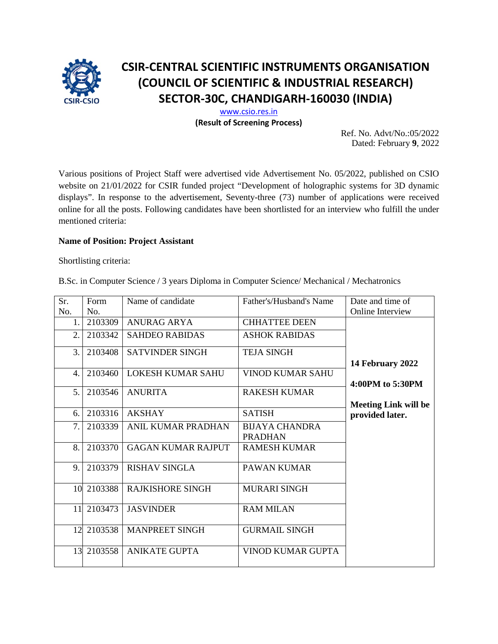

# **CSIR-CENTRAL SCIENTIFIC INSTRUMENTS ORGANISATION (COUNCIL OF SCIENTIFIC & INDUSTRIAL RESEARCH) SECTOR-30C, CHANDIGARH-160030 (INDIA)**

[www.csio.res.in](http://www.csio.res.in/) **(Result of Screening Process)**

> Ref. No. Advt/No.:05/2022 Dated: February **9**, 2022

Various positions of Project Staff were advertised vide Advertisement No. 05/2022, published on CSIO website on 21/01/2022 for CSIR funded project "Development of holographic systems for 3D dynamic displays". In response to the advertisement, Seventy-three (73) number of applications were received online for all the posts. Following candidates have been shortlisted for an interview who fulfill the under mentioned criteria:

### **Name of Position: Project Assistant**

Shortlisting criteria:

B.Sc. in Computer Science / 3 years Diploma in Computer Science/ Mechanical / Mechatronics

| Sr.            | Form       | Name of candidate         | Father's/Husband's Name | Date and time of            |
|----------------|------------|---------------------------|-------------------------|-----------------------------|
| No.            | No.        |                           |                         | Online Interview            |
| 1.             | 2103309    | <b>ANURAG ARYA</b>        | <b>CHHATTEE DEEN</b>    |                             |
| 2.             | 2103342    | <b>SAHDEO RABIDAS</b>     | <b>ASHOK RABIDAS</b>    |                             |
| 3.             | 2103408    | <b>SATVINDER SINGH</b>    | <b>TEJA SINGH</b>       |                             |
|                |            |                           |                         | 14 February 2022            |
| 4.             | 2103460    | <b>LOKESH KUMAR SAHU</b>  | <b>VINOD KUMAR SAHU</b> |                             |
|                |            |                           |                         | 4:00PM to 5:30PM            |
| 5 <sub>1</sub> | 2103546    | <b>ANURITA</b>            | <b>RAKESH KUMAR</b>     |                             |
|                |            |                           |                         | <b>Meeting Link will be</b> |
| 6.             | 2103316    | <b>AKSHAY</b>             | <b>SATISH</b>           | provided later.             |
| 7.             | 2103339    | ANIL KUMAR PRADHAN        | <b>BIJAYA CHANDRA</b>   |                             |
|                |            |                           | <b>PRADHAN</b>          |                             |
| 8.             | 2103370    | <b>GAGAN KUMAR RAJPUT</b> | <b>RAMESH KUMAR</b>     |                             |
|                |            |                           |                         |                             |
| 9.             | 2103379    | <b>RISHAV SINGLA</b>      | <b>PAWAN KUMAR</b>      |                             |
|                |            |                           |                         |                             |
|                | 10 2103388 | <b>RAJKISHORE SINGH</b>   | <b>MURARI SINGH</b>     |                             |
|                |            |                           |                         |                             |
|                | 11 2103473 | <b>JASVINDER</b>          | <b>RAM MILAN</b>        |                             |
|                |            |                           |                         |                             |
|                | 12 2103538 | <b>MANPREET SINGH</b>     | <b>GURMAIL SINGH</b>    |                             |
|                |            |                           |                         |                             |
|                | 13 2103558 | <b>ANIKATE GUPTA</b>      | VINOD KUMAR GUPTA       |                             |
|                |            |                           |                         |                             |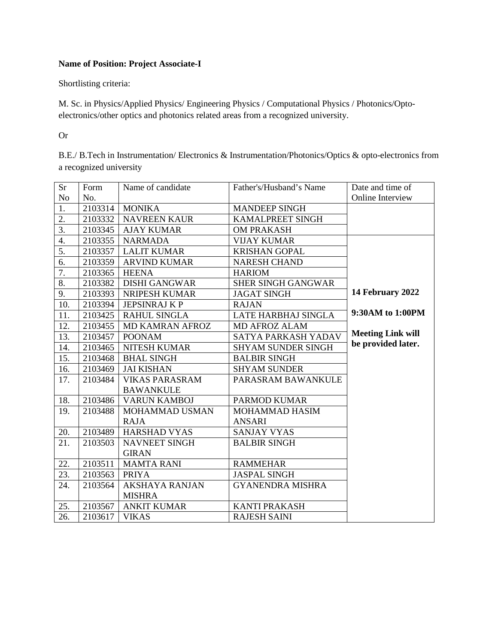## **Name of Position: Project Associate-I**

Shortlisting criteria:

M. Sc. in Physics/Applied Physics/ Engineering Physics / Computational Physics / Photonics/Optoelectronics/other optics and photonics related areas from a recognized university.

#### Or

B.E./ B.Tech in Instrumentation/ Electronics & Instrumentation/Photonics/Optics & opto-electronics from a recognized university

| <b>Sr</b>        | Form    | Name of candidate      | Father's/Husband's Name   | Date and time of         |
|------------------|---------|------------------------|---------------------------|--------------------------|
| N <sub>o</sub>   | No.     |                        |                           | Online Interview         |
| 1.               | 2103314 | <b>MONIKA</b>          | <b>MANDEEP SINGH</b>      |                          |
| 2.               | 2103332 | <b>NAVREEN KAUR</b>    | KAMALPREET SINGH          |                          |
| 3.               | 2103345 | <b>AJAY KUMAR</b>      | <b>OM PRAKASH</b>         |                          |
| 4.               | 2103355 | <b>NARMADA</b>         | <b>VIJAY KUMAR</b>        |                          |
| 5.               | 2103357 | <b>LALIT KUMAR</b>     | <b>KRISHAN GOPAL</b>      |                          |
| $\overline{6}$ . | 2103359 | <b>ARVIND KUMAR</b>    | <b>NARESH CHAND</b>       |                          |
| 7.               | 2103365 | <b>HEENA</b>           | <b>HARIOM</b>             |                          |
| 8.               | 2103382 | <b>DISHI GANGWAR</b>   | <b>SHER SINGH GANGWAR</b> |                          |
| 9.               | 2103393 | NRIPESH KUMAR          | <b>JAGAT SINGH</b>        | 14 February 2022         |
| 10.              | 2103394 | <b>JEPSINRAJ K P</b>   | <b>RAJAN</b>              |                          |
| 11.              | 2103425 | <b>RAHUL SINGLA</b>    | LATE HARBHAJ SINGLA       | 9:30AM to 1:00PM         |
| 12.              | 2103455 | <b>MD KAMRAN AFROZ</b> | <b>MD AFROZ ALAM</b>      |                          |
| 13.              | 2103457 | <b>POONAM</b>          | SATYA PARKASH YADAV       | <b>Meeting Link will</b> |
| 14.              | 2103465 | <b>NITESH KUMAR</b>    | <b>SHYAM SUNDER SINGH</b> | be provided later.       |
| 15.              | 2103468 | <b>BHAL SINGH</b>      | <b>BALBIR SINGH</b>       |                          |
| 16.              | 2103469 | <b>JAI KISHAN</b>      | <b>SHYAM SUNDER</b>       |                          |
| 17.              | 2103484 | <b>VIKAS PARASRAM</b>  | PARASRAM BAWANKULE        |                          |
|                  |         | <b>BAWANKULE</b>       |                           |                          |
| 18.              | 2103486 | <b>VARUN KAMBOJ</b>    | <b>PARMOD KUMAR</b>       |                          |
| 19.              | 2103488 | MOHAMMAD USMAN         | MOHAMMAD HASIM            |                          |
|                  |         | <b>RAJA</b>            | <b>ANSARI</b>             |                          |
| 20.              | 2103489 | <b>HARSHAD VYAS</b>    | <b>SANJAY VYAS</b>        |                          |
| 21.              | 2103503 | NAVNEET SINGH          | <b>BALBIR SINGH</b>       |                          |
|                  |         | <b>GIRAN</b>           |                           |                          |
| 22.              | 2103511 | <b>MAMTA RANI</b>      | <b>RAMMEHAR</b>           |                          |
| 23.              | 2103563 | <b>PRIYA</b>           | <b>JASPAL SINGH</b>       |                          |
| 24.              | 2103564 | <b>AKSHAYA RANJAN</b>  | <b>GYANENDRA MISHRA</b>   |                          |
|                  |         | <b>MISHRA</b>          |                           |                          |
| 25.              | 2103567 | <b>ANKIT KUMAR</b>     | <b>KANTI PRAKASH</b>      |                          |
| 26.              | 2103617 | <b>VIKAS</b>           | <b>RAJESH SAINI</b>       |                          |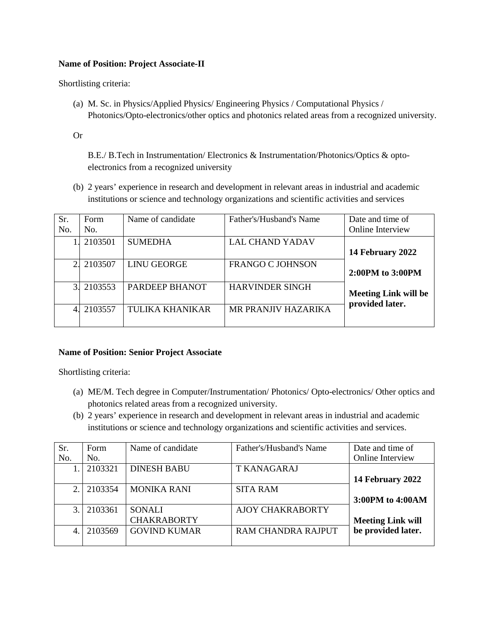#### **Name of Position: Project Associate-II**

Shortlisting criteria:

(a) M. Sc. in Physics/Applied Physics/ Engineering Physics / Computational Physics / Photonics/Opto-electronics/other optics and photonics related areas from a recognized university.

#### Or

B.E./ B.Tech in Instrumentation/ Electronics & Instrumentation/Photonics/Optics & optoelectronics from a recognized university

(b) 2 years' experience in research and development in relevant areas in industrial and academic institutions or science and technology organizations and scientific activities and services

| Sr.<br>No.     | Form<br>No. | Name of candidate      | Father's/Husband's Name | Date and time of<br>Online Interview           |
|----------------|-------------|------------------------|-------------------------|------------------------------------------------|
|                | 2103501     | <b>SUMEDHA</b>         | <b>LAL CHAND YADAV</b>  | 14 February 2022                               |
|                | 2103507     | <b>LINU GEORGE</b>     | <b>FRANGO C JOHNSON</b> | $2:00PM$ to $3:00PM$                           |
| $\overline{3}$ | 2103553     | PARDEEP BHANOT         | <b>HARVINDER SINGH</b>  | <b>Meeting Link will be</b><br>provided later. |
|                | 2103557     | <b>TULIKA KHANIKAR</b> | MR PRANJIV HAZARIKA     |                                                |

#### **Name of Position: Senior Project Associate**

Shortlisting criteria:

- (a) ME/M. Tech degree in Computer/Instrumentation/ Photonics/ Opto-electronics/ Other optics and photonics related areas from a recognized university.
- (b) 2 years' experience in research and development in relevant areas in industrial and academic institutions or science and technology organizations and scientific activities and services.

| Sr.            | Form    | Name of candidate   | Father's/Husband's Name   | Date and time of         |
|----------------|---------|---------------------|---------------------------|--------------------------|
| No.            | No.     |                     |                           | <b>Online Interview</b>  |
|                | 2103321 | <b>DINESH BABU</b>  | <b>T KANAGARAJ</b>        |                          |
|                |         |                     |                           | 14 February 2022         |
| 2.             | 2103354 | <b>MONIKA RANI</b>  | <b>SITA RAM</b>           |                          |
|                |         |                     |                           | 3:00PM to 4:00AM         |
| 3.             | 2103361 | <b>SONALI</b>       | <b>AJOY CHAKRABORTY</b>   |                          |
|                |         | <b>CHAKRABORTY</b>  |                           | <b>Meeting Link will</b> |
| $\overline{4}$ | 2103569 | <b>GOVIND KUMAR</b> | <b>RAM CHANDRA RAJPUT</b> | be provided later.       |
|                |         |                     |                           |                          |